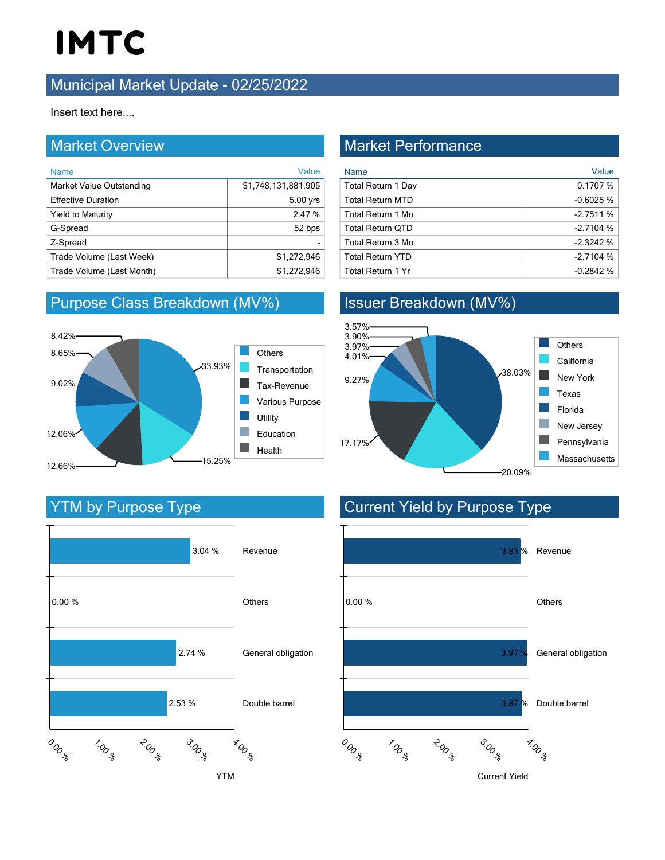### **Municipal Market Update - 02/25/2022**

Insert text here....

#### Market Overview

| <b>Name</b>               | Value               |
|---------------------------|---------------------|
| Market Value Outstanding  | \$1,748,131,881,905 |
| <b>Effective Duration</b> | 5.00 yrs            |
| <b>Yield to Maturity</b>  | 2.47 %              |
| G-Spread                  | 52 bps              |
| Z-Spread                  |                     |
| Trade Volume (Last Week)  | \$1,272,946         |
| Trade Volume (Last Month) | \$1.272.946         |

### Purpose Class Breakdown (MV%)



### Market Performance

| <b>Name</b>              | Value      |
|--------------------------|------------|
| Total Return 1 Day       | 0.1707%    |
| <b>Total Return MTD</b>  | $-0.6025%$ |
| Total Return 1 Mo        | $-2.7511%$ |
| <b>Total Return QTD</b>  | $-2.7104%$ |
| Total Return 3 Mo        | $-2.3242%$ |
| <b>Total Return YTD</b>  | $-2.7104%$ |
| <b>Total Return 1 Yr</b> | $-0.2842%$ |

### Issuer Breakdown (MV%)



### YTM by Purpose Type



### Current Yield by Purpose Type

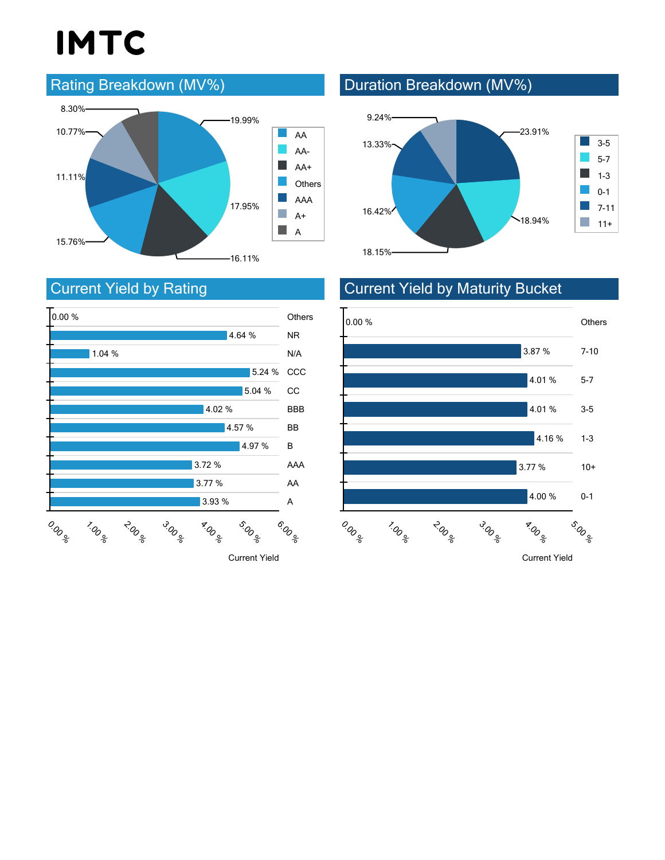### Rating Breakdown (MV%)



## Current Yield by Rating



Current Yield

## Duration Breakdown (MV%)





### Current Yield by Maturity Bucket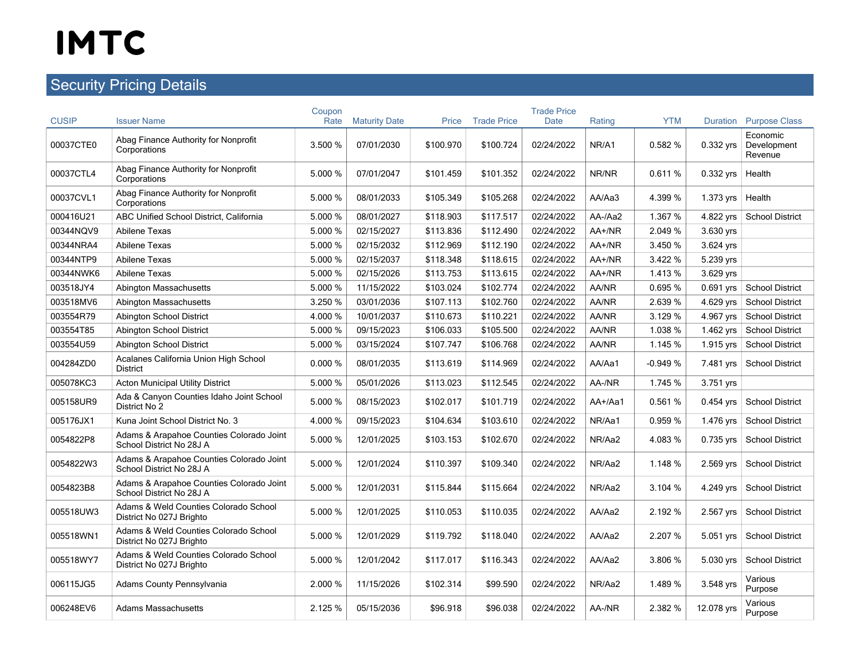## **Security Pricing Details**

| <b>CUSIP</b> | <b>Issuer Name</b>                                                   | Coupon<br>Rate | <b>Maturity Date</b> | Price     | <b>Trade Price</b> | <b>Trade Price</b><br><b>Date</b> | Rating  | <b>YTM</b> | Duration    | <b>Purpose Class</b>               |
|--------------|----------------------------------------------------------------------|----------------|----------------------|-----------|--------------------|-----------------------------------|---------|------------|-------------|------------------------------------|
| 00037CTE0    | Abag Finance Authority for Nonprofit<br>Corporations                 | 3.500 %        | 07/01/2030           | \$100.970 | \$100.724          | 02/24/2022                        | NR/A1   | 0.582%     | 0.332 yrs   | Economic<br>Development<br>Revenue |
| 00037CTL4    | Abag Finance Authority for Nonprofit<br>Corporations                 | 5.000 %        | 07/01/2047           | \$101.459 | \$101.352          | 02/24/2022                        | NR/NR   | 0.611%     | 0.332 vrs   | Health                             |
| 00037CVL1    | Abag Finance Authority for Nonprofit<br>Corporations                 | 5.000 %        | 08/01/2033           | \$105.349 | \$105.268          | 02/24/2022                        | AA/Aa3  | 4.399 %    | 1.373 yrs   | Health                             |
| 000416U21    | ABC Unified School District, California                              | 5.000 %        | 08/01/2027           | \$118.903 | \$117.517          | 02/24/2022                        | AA-/Aa2 | 1.367 %    | 4.822 yrs   | <b>School District</b>             |
| 00344NQV9    | Abilene Texas                                                        | 5.000 %        | 02/15/2027           | \$113.836 | \$112.490          | 02/24/2022                        | AA+/NR  | 2.049 %    | 3.630 yrs   |                                    |
| 00344NRA4    | Abilene Texas                                                        | 5.000 %        | 02/15/2032           | \$112.969 | \$112.190          | 02/24/2022                        | AA+/NR  | 3.450 %    | 3.624 yrs   |                                    |
| 00344NTP9    | Abilene Texas                                                        | 5.000 %        | 02/15/2037           | \$118.348 | \$118.615          | 02/24/2022                        | AA+/NR  | 3.422 %    | 5.239 yrs   |                                    |
| 00344NWK6    | Abilene Texas                                                        | 5.000 %        | 02/15/2026           | \$113.753 | \$113.615          | 02/24/2022                        | AA+/NR  | 1.413 %    | 3.629 yrs   |                                    |
| 003518JY4    | Abington Massachusetts                                               | 5.000 %        | 11/15/2022           | \$103.024 | \$102.774          | 02/24/2022                        | AA/NR   | 0.695 %    | $0.691$ yrs | <b>School District</b>             |
| 003518MV6    | <b>Abington Massachusetts</b>                                        | 3.250 %        | 03/01/2036           | \$107.113 | \$102.760          | 02/24/2022                        | AA/NR   | 2.639 %    | 4.629 yrs   | <b>School District</b>             |
| 003554R79    | Abington School District                                             | 4.000 %        | 10/01/2037           | \$110.673 | \$110.221          | 02/24/2022                        | AA/NR   | 3.129 %    | 4.967 yrs   | <b>School District</b>             |
| 003554T85    | Abington School District                                             | 5.000 %        | 09/15/2023           | \$106.033 | \$105.500          | 02/24/2022                        | AA/NR   | 1.038 %    | 1.462 yrs   | <b>School District</b>             |
| 003554U59    | Abington School District                                             | 5.000 %        | 03/15/2024           | \$107.747 | \$106.768          | 02/24/2022                        | AA/NR   | 1.145 %    | 1.915 yrs   | <b>School District</b>             |
| 004284ZD0    | Acalanes California Union High School<br><b>District</b>             | 0.000%         | 08/01/2035           | \$113.619 | \$114.969          | 02/24/2022                        | AA/Aa1  | $-0.949%$  | 7.481 yrs   | <b>School District</b>             |
| 005078KC3    | <b>Acton Municipal Utility District</b>                              | 5.000 %        | 05/01/2026           | \$113.023 | \$112.545          | 02/24/2022                        | AA-/NR  | 1.745 %    | 3.751 yrs   |                                    |
| 005158UR9    | Ada & Canyon Counties Idaho Joint School<br>District No 2            | 5.000 %        | 08/15/2023           | \$102.017 | \$101.719          | 02/24/2022                        | AA+/Aa1 | 0.561%     | $0.454$ yrs | <b>School District</b>             |
| 005176JX1    | Kuna Joint School District No. 3                                     | 4.000 %        | 09/15/2023           | \$104.634 | \$103.610          | 02/24/2022                        | NR/Aa1  | 0.959 %    | 1.476 yrs   | <b>School District</b>             |
| 0054822P8    | Adams & Arapahoe Counties Colorado Joint<br>School District No 28J A | 5.000 %        | 12/01/2025           | \$103.153 | \$102.670          | 02/24/2022                        | NR/Aa2  | 4.083 %    | $0.735$ yrs | <b>School District</b>             |
| 0054822W3    | Adams & Arapahoe Counties Colorado Joint<br>School District No 28J A | 5.000 %        | 12/01/2024           | \$110.397 | \$109.340          | 02/24/2022                        | NR/Aa2  | 1.148 %    | 2.569 yrs   | <b>School District</b>             |
| 0054823B8    | Adams & Arapahoe Counties Colorado Joint<br>School District No 28J A | 5.000 %        | 12/01/2031           | \$115.844 | \$115.664          | 02/24/2022                        | NR/Aa2  | 3.104 %    | 4.249 yrs   | <b>School District</b>             |
| 005518UW3    | Adams & Weld Counties Colorado School<br>District No 027J Brighto    | 5.000 %        | 12/01/2025           | \$110.053 | \$110.035          | 02/24/2022                        | AA/Aa2  | 2.192 %    | 2.567 vrs   | <b>School District</b>             |
| 005518WN1    | Adams & Weld Counties Colorado School<br>District No 027J Brighto    | 5.000 %        | 12/01/2029           | \$119.792 | \$118.040          | 02/24/2022                        | AA/Aa2  | 2.207 %    | 5.051 yrs   | <b>School District</b>             |
| 005518WY7    | Adams & Weld Counties Colorado School<br>District No 027J Brighto    | 5.000 %        | 12/01/2042           | \$117.017 | \$116.343          | 02/24/2022                        | AA/Aa2  | 3.806 %    | 5.030 yrs   | <b>School District</b>             |
| 006115JG5    | Adams County Pennsylvania                                            | 2.000 %        | 11/15/2026           | \$102.314 | \$99.590           | 02/24/2022                        | NR/Aa2  | 1.489 %    | 3.548 yrs   | Various<br>Purpose                 |
| 006248EV6    | <b>Adams Massachusetts</b>                                           | 2.125 %        | 05/15/2036           | \$96.918  | \$96.038           | 02/24/2022                        | AA-/NR  | 2.382 %    | 12.078 yrs  | Various<br>Purpose                 |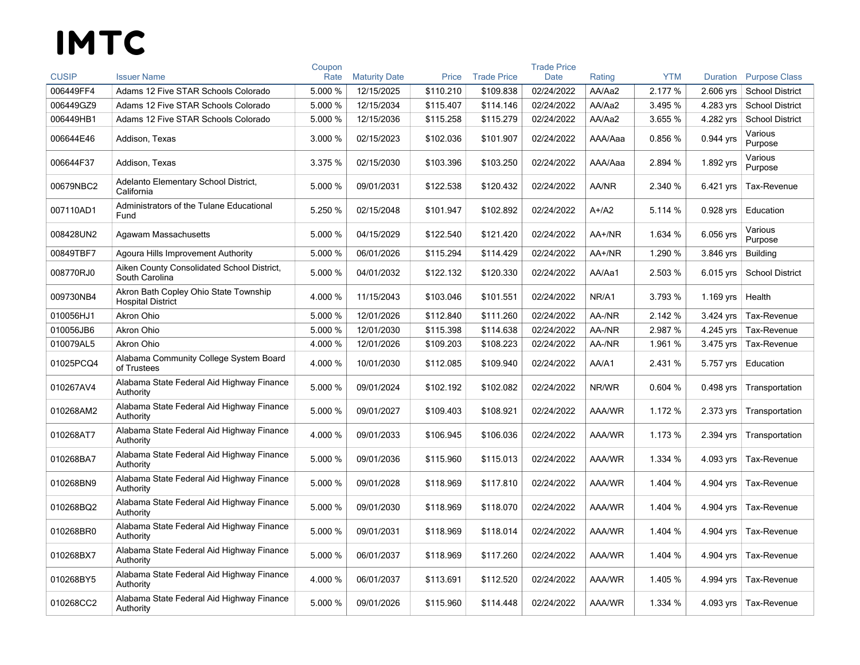|              |                                                                   | Coupon  |                      |           |                    | <b>Trade Price</b> |         |            |             |                        |
|--------------|-------------------------------------------------------------------|---------|----------------------|-----------|--------------------|--------------------|---------|------------|-------------|------------------------|
| <b>CUSIP</b> | <b>Issuer Name</b>                                                | Rate    | <b>Maturity Date</b> | Price     | <b>Trade Price</b> | Date               | Rating  | <b>YTM</b> | Duration    | <b>Purpose Class</b>   |
| 006449FF4    | Adams 12 Five STAR Schools Colorado                               | 5.000 % | 12/15/2025           | \$110.210 | \$109.838          | 02/24/2022         | AA/Aa2  | 2.177 %    | 2.606 yrs   | <b>School District</b> |
| 006449GZ9    | Adams 12 Five STAR Schools Colorado                               | 5.000 % | 12/15/2034           | \$115.407 | \$114.146          | 02/24/2022         | AA/Aa2  | 3.495 %    | 4.283 yrs   | <b>School District</b> |
| 006449HB1    | Adams 12 Five STAR Schools Colorado                               | 5.000 % | 12/15/2036           | \$115.258 | \$115.279          | 02/24/2022         | AA/Aa2  | 3.655 %    | 4.282 yrs   | <b>School District</b> |
| 006644E46    | Addison, Texas                                                    | 3.000 % | 02/15/2023           | \$102.036 | \$101.907          | 02/24/2022         | AAA/Aaa | 0.856 %    | 0.944 yrs   | Various<br>Purpose     |
| 006644F37    | Addison, Texas                                                    | 3.375 % | 02/15/2030           | \$103.396 | \$103.250          | 02/24/2022         | AAA/Aaa | 2.894 %    | 1.892 yrs   | Various<br>Purpose     |
| 00679NBC2    | Adelanto Elementary School District,<br>California                | 5.000 % | 09/01/2031           | \$122.538 | \$120.432          | 02/24/2022         | AA/NR   | 2.340 %    | 6.421 yrs   | Tax-Revenue            |
| 007110AD1    | Administrators of the Tulane Educational<br>Fund                  | 5.250 % | 02/15/2048           | \$101.947 | \$102.892          | 02/24/2022         | $A+/A2$ | 5.114 %    | $0.928$ yrs | Education              |
| 008428UN2    | Agawam Massachusetts                                              | 5.000 % | 04/15/2029           | \$122.540 | \$121.420          | 02/24/2022         | AA+/NR  | 1.634 %    | 6.056 yrs   | Various<br>Purpose     |
| 00849TBF7    | Agoura Hills Improvement Authority                                | 5.000 % | 06/01/2026           | \$115.294 | \$114.429          | 02/24/2022         | AA+/NR  | 1.290 %    | 3.846 yrs   | <b>Building</b>        |
| 008770RJ0    | Aiken County Consolidated School District,<br>South Carolina      | 5.000 % | 04/01/2032           | \$122.132 | \$120.330          | 02/24/2022         | AA/Aa1  | 2.503 %    | 6.015 yrs   | <b>School District</b> |
| 009730NB4    | Akron Bath Copley Ohio State Township<br><b>Hospital District</b> | 4.000 % | 11/15/2043           | \$103.046 | \$101.551          | 02/24/2022         | NR/A1   | 3.793 %    | 1.169 yrs   | Health                 |
| 010056HJ1    | <b>Akron Ohio</b>                                                 | 5.000 % | 12/01/2026           | \$112.840 | \$111.260          | 02/24/2022         | AA-/NR  | 2.142 %    | 3.424 yrs   | Tax-Revenue            |
| 010056JB6    | <b>Akron Ohio</b>                                                 | 5.000 % | 12/01/2030           | \$115.398 | \$114.638          | 02/24/2022         | AA-/NR  | 2.987 %    | 4.245 yrs   | Tax-Revenue            |
| 010079AL5    | Akron Ohio                                                        | 4.000 % | 12/01/2026           | \$109.203 | \$108.223          | 02/24/2022         | AA-/NR  | 1.961 %    | 3.475 yrs   | Tax-Revenue            |
| 01025PCQ4    | Alabama Community College System Board<br>of Trustees             | 4.000 % | 10/01/2030           | \$112.085 | \$109.940          | 02/24/2022         | AA/A1   | 2.431 %    | 5.757 yrs   | Education              |
| 010267AV4    | Alabama State Federal Aid Highway Finance<br>Authority            | 5.000 % | 09/01/2024           | \$102.192 | \$102.082          | 02/24/2022         | NR/WR   | 0.604%     | $0.498$ yrs | Transportation         |
| 010268AM2    | Alabama State Federal Aid Highway Finance<br>Authority            | 5.000 % | 09/01/2027           | \$109.403 | \$108.921          | 02/24/2022         | AAA/WR  | 1.172 %    | 2.373 yrs   | Transportation         |
| 010268AT7    | Alabama State Federal Aid Highway Finance<br>Authority            | 4.000 % | 09/01/2033           | \$106.945 | \$106.036          | 02/24/2022         | AAA/WR  | 1.173 %    | 2.394 yrs   | Transportation         |
| 010268BA7    | Alabama State Federal Aid Highway Finance<br>Authority            | 5.000 % | 09/01/2036           | \$115.960 | \$115.013          | 02/24/2022         | AAA/WR  | 1.334 %    | 4.093 yrs   | Tax-Revenue            |
| 010268BN9    | Alabama State Federal Aid Highway Finance<br>Authority            | 5.000 % | 09/01/2028           | \$118.969 | \$117.810          | 02/24/2022         | AAA/WR  | 1.404 %    | 4.904 yrs   | Tax-Revenue            |
| 010268BQ2    | Alabama State Federal Aid Highway Finance<br>Authority            | 5.000 % | 09/01/2030           | \$118.969 | \$118.070          | 02/24/2022         | AAA/WR  | 1.404 %    | 4.904 yrs   | Tax-Revenue            |
| 010268BR0    | Alabama State Federal Aid Highway Finance<br>Authority            | 5.000 % | 09/01/2031           | \$118.969 | \$118.014          | 02/24/2022         | AAA/WR  | 1.404 %    | 4.904 yrs   | Tax-Revenue            |
| 010268BX7    | Alabama State Federal Aid Highway Finance<br>Authority            | 5.000 % | 06/01/2037           | \$118.969 | \$117.260          | 02/24/2022         | AAA/WR  | 1.404 %    | 4.904 yrs   | Tax-Revenue            |
| 010268BY5    | Alabama State Federal Aid Highway Finance<br>Authority            | 4.000 % | 06/01/2037           | \$113.691 | \$112.520          | 02/24/2022         | AAA/WR  | 1.405 %    | 4.994 yrs   | Tax-Revenue            |
| 010268CC2    | Alabama State Federal Aid Highway Finance<br>Authority            | 5.000 % | 09/01/2026           | \$115.960 | \$114.448          | 02/24/2022         | AAA/WR  | 1.334 %    | 4.093 yrs   | Tax-Revenue            |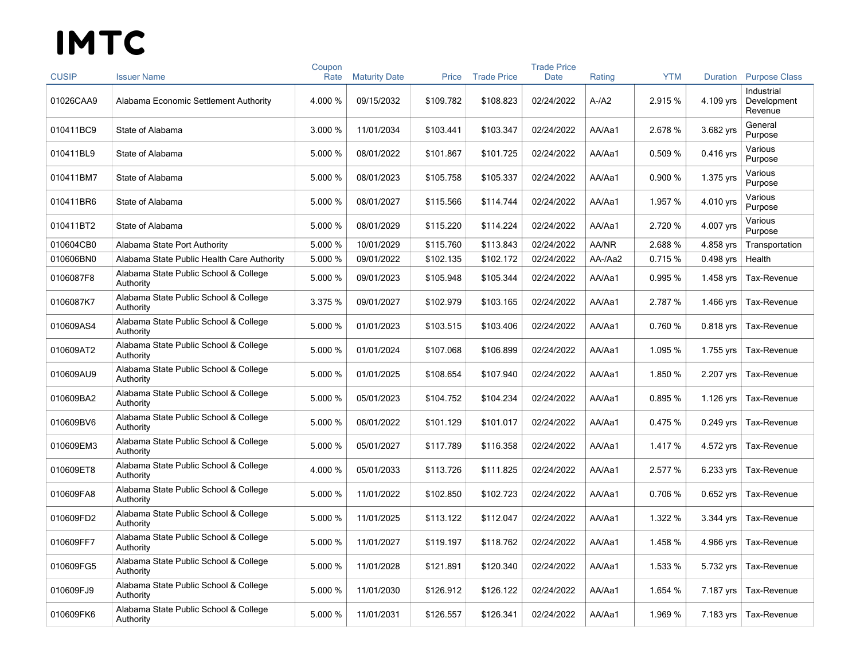| <b>CUSIP</b> | <b>Issuer Name</b>                                 | Coupon<br>Rate | <b>Maturity Date</b> | Price     | <b>Trade Price</b> | <b>Trade Price</b><br><b>Date</b> | Rating       | <b>YTM</b> | Duration    | <b>Purpose Class</b>                 |
|--------------|----------------------------------------------------|----------------|----------------------|-----------|--------------------|-----------------------------------|--------------|------------|-------------|--------------------------------------|
| 01026CAA9    | Alabama Economic Settlement Authority              | 4.000 %        | 09/15/2032           | \$109.782 | \$108.823          | 02/24/2022                        | $A-A2$       | 2.915 %    | 4.109 yrs   | Industrial<br>Development<br>Revenue |
| 010411BC9    | State of Alabama                                   | 3.000 %        | 11/01/2034           | \$103.441 | \$103.347          | 02/24/2022                        | AA/Aa1       | 2.678 %    | 3.682 yrs   | General<br>Purpose                   |
| 010411BL9    | State of Alabama                                   | 5.000 %        | 08/01/2022           | \$101.867 | \$101.725          | 02/24/2022                        | AA/Aa1       | 0.509 %    | 0.416 yrs   | Various<br>Purpose                   |
| 010411BM7    | State of Alabama                                   | 5.000 %        | 08/01/2023           | \$105.758 | \$105.337          | 02/24/2022                        | AA/Aa1       | 0.900 %    | 1.375 yrs   | Various<br>Purpose                   |
| 010411BR6    | State of Alabama                                   | 5.000 %        | 08/01/2027           | \$115.566 | \$114.744          | 02/24/2022                        | AA/Aa1       | 1.957 %    | 4.010 yrs   | Various<br>Purpose                   |
| 010411BT2    | State of Alabama                                   | 5.000 %        | 08/01/2029           | \$115.220 | \$114.224          | 02/24/2022                        | AA/Aa1       | 2.720 %    | 4.007 yrs   | Various<br>Purpose                   |
| 010604CB0    | Alabama State Port Authority                       | 5.000 %        | 10/01/2029           | \$115.760 | \$113.843          | 02/24/2022                        | <b>AA/NR</b> | 2.688 %    | 4.858 yrs   | Transportation                       |
| 010606BN0    | Alabama State Public Health Care Authority         | 5.000 %        | 09/01/2022           | \$102.135 | \$102.172          | 02/24/2022                        | AA-/Aa2      | 0.715 %    | $0.498$ yrs | Health                               |
| 0106087F8    | Alabama State Public School & College<br>Authority | 5.000 %        | 09/01/2023           | \$105.948 | \$105.344          | 02/24/2022                        | AA/Aa1       | 0.995 %    | 1.458 yrs   | Tax-Revenue                          |
| 0106087K7    | Alabama State Public School & College<br>Authority | 3.375 %        | 09/01/2027           | \$102.979 | \$103.165          | 02/24/2022                        | AA/Aa1       | 2.787 %    | 1.466 yrs   | Tax-Revenue                          |
| 010609AS4    | Alabama State Public School & College<br>Authority | 5.000 %        | 01/01/2023           | \$103.515 | \$103.406          | 02/24/2022                        | AA/Aa1       | 0.760%     | 0.818 yrs   | Tax-Revenue                          |
| 010609AT2    | Alabama State Public School & College<br>Authority | 5.000 %        | 01/01/2024           | \$107.068 | \$106.899          | 02/24/2022                        | AA/Aa1       | 1.095 %    | 1.755 yrs   | Tax-Revenue                          |
| 010609AU9    | Alabama State Public School & College<br>Authority | 5.000 %        | 01/01/2025           | \$108.654 | \$107.940          | 02/24/2022                        | AA/Aa1       | 1.850 %    | 2.207 yrs   | Tax-Revenue                          |
| 010609BA2    | Alabama State Public School & College<br>Authority | 5.000 %        | 05/01/2023           | \$104.752 | \$104.234          | 02/24/2022                        | AA/Aa1       | 0.895 %    | 1.126 yrs   | Tax-Revenue                          |
| 010609BV6    | Alabama State Public School & College<br>Authority | 5.000 %        | 06/01/2022           | \$101.129 | \$101.017          | 02/24/2022                        | AA/Aa1       | 0.475 %    | $0.249$ yrs | Tax-Revenue                          |
| 010609EM3    | Alabama State Public School & College<br>Authority | 5.000 %        | 05/01/2027           | \$117.789 | \$116.358          | 02/24/2022                        | AA/Aa1       | 1.417 %    | 4.572 yrs   | Tax-Revenue                          |
| 010609ET8    | Alabama State Public School & College<br>Authority | 4.000 %        | 05/01/2033           | \$113.726 | \$111.825          | 02/24/2022                        | AA/Aa1       | 2.577 %    | 6.233 yrs   | Tax-Revenue                          |
| 010609FA8    | Alabama State Public School & College<br>Authority | 5.000 %        | 11/01/2022           | \$102.850 | \$102.723          | 02/24/2022                        | AA/Aa1       | 0.706 %    | $0.652$ yrs | Tax-Revenue                          |
| 010609FD2    | Alabama State Public School & College<br>Authority | 5.000 %        | 11/01/2025           | \$113.122 | \$112.047          | 02/24/2022                        | AA/Aa1       | 1.322 %    | 3.344 yrs   | Tax-Revenue                          |
| 010609FF7    | Alabama State Public School & College<br>Authority | 5.000 %        | 11/01/2027           | \$119.197 | \$118.762          | 02/24/2022                        | AA/Aa1       | 1.458 %    | 4.966 yrs   | Tax-Revenue                          |
| 010609FG5    | Alabama State Public School & College<br>Authority | 5.000 %        | 11/01/2028           | \$121.891 | \$120.340          | 02/24/2022                        | AA/Aa1       | 1.533 %    | 5.732 yrs   | Tax-Revenue                          |
| 010609FJ9    | Alabama State Public School & College<br>Authority | 5.000 %        | 11/01/2030           | \$126.912 | \$126.122          | 02/24/2022                        | AA/Aa1       | 1.654 %    | 7.187 yrs   | Tax-Revenue                          |
| 010609FK6    | Alabama State Public School & College<br>Authority | 5.000 %        | 11/01/2031           | \$126.557 | \$126.341          | 02/24/2022                        | AA/Aa1       | 1.969 %    | 7.183 yrs   | Tax-Revenue                          |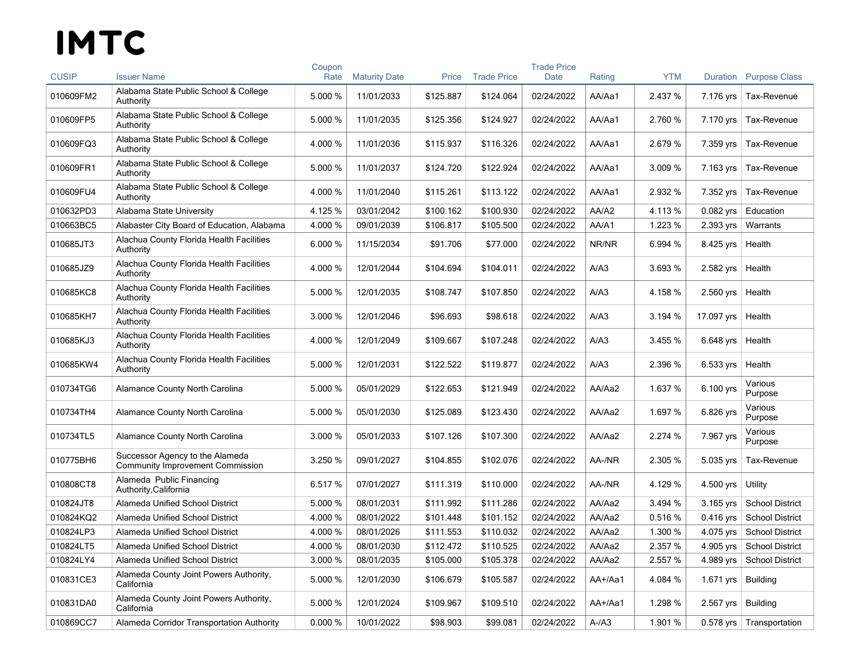|              |                                                                            | Coupon  |                      |           |                    | <b>Trade Price</b> |         |            |             |                            |
|--------------|----------------------------------------------------------------------------|---------|----------------------|-----------|--------------------|--------------------|---------|------------|-------------|----------------------------|
| <b>CUSIP</b> | <b>Issuer Name</b>                                                         | Rate    | <b>Maturity Date</b> | Price     | <b>Trade Price</b> | <b>Date</b>        | Rating  | <b>YTM</b> | Duration    | <b>Purpose Class</b>       |
| 010609FM2    | Alabama State Public School & College<br>Authority                         | 5.000 % | 11/01/2033           | \$125.887 | \$124.064          | 02/24/2022         | AA/Aa1  | 2.437 %    | 7.176 yrs   | Tax-Revenue                |
| 010609FP5    | Alabama State Public School & College<br>Authority                         | 5.000 % | 11/01/2035           | \$125.356 | \$124.927          | 02/24/2022         | AA/Aa1  | 2.760 %    | 7.170 yrs   | Tax-Revenue                |
| 010609FQ3    | Alabama State Public School & College<br>Authority                         | 4.000 % | 11/01/2036           | \$115.937 | \$116.326          | 02/24/2022         | AA/Aa1  | 2.679 %    | 7.359 yrs   | Tax-Revenue                |
| 010609FR1    | Alabama State Public School & College<br>Authority                         | 5.000 % | 11/01/2037           | \$124.720 | \$122.924          | 02/24/2022         | AA/Aa1  | 3.009 %    | 7.163 yrs   | Tax-Revenue                |
| 010609FU4    | Alabama State Public School & College<br>Authority                         | 4.000 % | 11/01/2040           | \$115.261 | \$113.122          | 02/24/2022         | AA/Aa1  | 2.932 %    | 7.352 yrs   | Tax-Revenue                |
| 010632PD3    | Alabama State University                                                   | 4.125 % | 03/01/2042           | \$100.162 | \$100.930          | 02/24/2022         | AA/A2   | 4.113%     | $0.082$ yrs | Education                  |
| 010663BC5    | Alabaster City Board of Education, Alabama                                 | 4.000 % | 09/01/2039           | \$106.817 | \$105.500          | 02/24/2022         | AA/A1   | 1.223 %    | 2.393 yrs   | Warrants                   |
| 010685JT3    | Alachua County Florida Health Facilities<br>Authority                      | 6.000 % | 11/15/2034           | \$91.706  | \$77.000           | 02/24/2022         | NR/NR   | 6.994 %    | 8.425 yrs   | Health                     |
| 010685JZ9    | Alachua County Florida Health Facilities<br>Authority                      | 4.000 % | 12/01/2044           | \$104.694 | \$104.011          | 02/24/2022         | A/A3    | 3.693 %    | 2.582 yrs   | Health                     |
| 010685KC8    | Alachua County Florida Health Facilities<br>Authority                      | 5.000 % | 12/01/2035           | \$108.747 | \$107.850          | 02/24/2022         | A/A3    | 4.158%     | 2.560 yrs   | Health                     |
| 010685KH7    | Alachua County Florida Health Facilities<br>Authority                      | 3.000 % | 12/01/2046           | \$96.693  | \$98.618           | 02/24/2022         | A/A3    | 3.194 %    | 17.097 yrs  | Health                     |
| 010685KJ3    | Alachua County Florida Health Facilities<br>Authority                      | 4.000 % | 12/01/2049           | \$109.667 | \$107.248          | 02/24/2022         | A/A3    | 3.455 %    | 6.648 yrs   | Health                     |
| 010685KW4    | Alachua County Florida Health Facilities<br>Authority                      | 5.000 % | 12/01/2031           | \$122.522 | \$119.877          | 02/24/2022         | A/A3    | 2.396 %    | 6.533 yrs   | Health                     |
| 010734TG6    | <b>Alamance County North Carolina</b>                                      | 5.000 % | 05/01/2029           | \$122.653 | \$121.949          | 02/24/2022         | AA/Aa2  | 1.637 %    | 6.100 yrs   | Various<br>Purpose         |
| 010734TH4    | Alamance County North Carolina                                             | 5.000 % | 05/01/2030           | \$125.089 | \$123.430          | 02/24/2022         | AA/Aa2  | 1.697 %    | 6.826 yrs   | Various<br>Purpose         |
| 010734TL5    | Alamance County North Carolina                                             | 3.000 % | 05/01/2033           | \$107.126 | \$107.300          | 02/24/2022         | AA/Aa2  | 2.274 %    | 7.967 yrs   | Various<br>Purpose         |
| 010775BH6    | Successor Agency to the Alameda<br><b>Community Improvement Commission</b> | 3.250 % | 09/01/2027           | \$104.855 | \$102.076          | 02/24/2022         | AA-/NR  | 2.305 %    | 5.035 yrs   | Tax-Revenue                |
| 010808CT8    | Alameda Public Financing<br>Authority, California                          | 6.517 % | 07/01/2027           | \$111.319 | \$110.000          | 02/24/2022         | AA-/NR  | 4.129 %    | 4.500 yrs   | Utility                    |
| 010824JT8    | Alameda Unified School District                                            | 5.000 % | 08/01/2031           | \$111.992 | \$111.286          | 02/24/2022         | AA/Aa2  | 3.494 %    | 3.165 yrs   | <b>School District</b>     |
| 010824KQ2    | Alameda Unified School District                                            | 4.000 % | 08/01/2022           | \$101.448 | \$101.152          | 02/24/2022         | AA/Aa2  | 0.516%     | $0.416$ yrs | <b>School District</b>     |
| 010824LP3    | Alameda Unified School District                                            | 4.000 % | 08/01/2026           | \$111.553 | \$110.032          | 02/24/2022         | AA/Aa2  | 1.300 %    | 4.075 yrs   | <b>School District</b>     |
| 010824LT5    | Alameda Unified School District                                            | 4.000 % | 08/01/2030           | \$112.472 | \$110.525          | 02/24/2022         | AA/Aa2  | 2.357 %    | 4.905 yrs   | <b>School District</b>     |
| 010824LY4    | Alameda Unified School District                                            | 3.000 % | 08/01/2035           | \$105.000 | \$105.378          | 02/24/2022         | AA/Aa2  | 2.557 %    | 4.989 yrs   | <b>School District</b>     |
| 010831CE3    | Alameda County Joint Powers Authority,<br>California                       | 5.000 % | 12/01/2030           | \$106.679 | \$105.587          | 02/24/2022         | AA+/Aa1 | 4.084 %    | 1.671 yrs   | <b>Building</b>            |
| 010831DA0    | Alameda County Joint Powers Authority,<br>California                       | 5.000 % | 12/01/2024           | \$109.967 | \$109.510          | 02/24/2022         | AA+/Aa1 | 1.298 %    | 2.567 yrs   | <b>Building</b>            |
| 010869CC7    | Alameda Corridor Transportation Authority                                  | 0.000%  | 10/01/2022           | \$98.903  | \$99.081           | 02/24/2022         | $A-A3$  | 1.901%     |             | 0.578 yrs   Transportation |